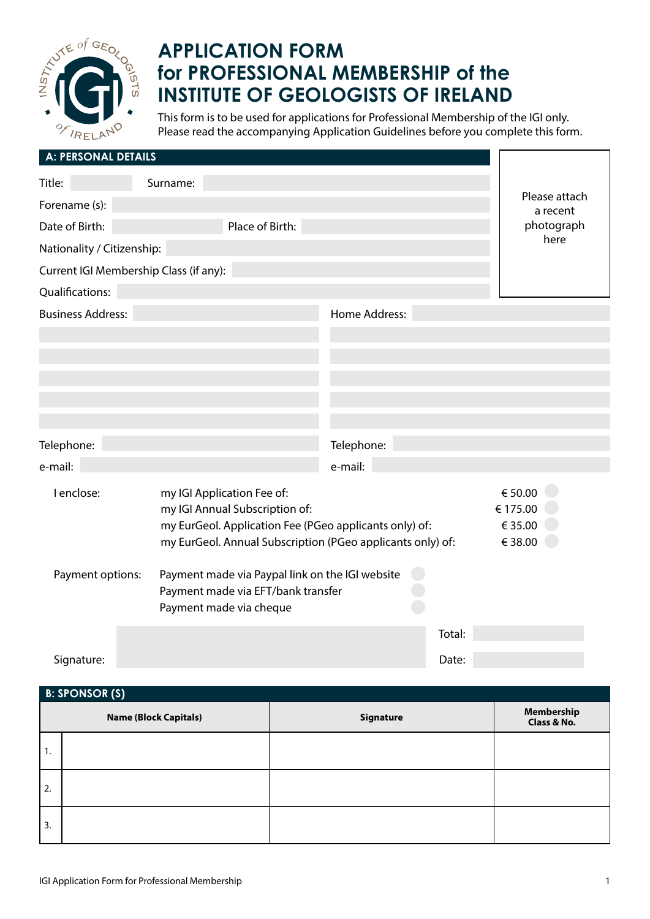

# **APPLICATION FORM for PROFESSIONAL MEMBERSHIP of the INSTITUTE OF GEOLOGISTS OF IRELAND**

This form is to be used for applications for Professional Membership of the IGI only. Please read the accompanying Application Guidelines before you complete this form.

| A: PERSONAL DETAILS                    |          |                                                                                                                        |               |        |                                |
|----------------------------------------|----------|------------------------------------------------------------------------------------------------------------------------|---------------|--------|--------------------------------|
| Title:                                 | Surname: |                                                                                                                        |               |        |                                |
| Forename (s):                          |          |                                                                                                                        |               |        | Please attach<br>a recent      |
| Date of Birth:                         |          | Place of Birth:                                                                                                        |               |        | photograph                     |
| Nationality / Citizenship:             |          |                                                                                                                        |               |        | here                           |
| Current IGI Membership Class (if any): |          |                                                                                                                        |               |        |                                |
| Qualifications:                        |          |                                                                                                                        |               |        |                                |
| <b>Business Address:</b>               |          |                                                                                                                        | Home Address: |        |                                |
|                                        |          |                                                                                                                        |               |        |                                |
|                                        |          |                                                                                                                        |               |        |                                |
|                                        |          |                                                                                                                        |               |        |                                |
|                                        |          |                                                                                                                        |               |        |                                |
|                                        |          |                                                                                                                        |               |        |                                |
| Telephone:                             |          |                                                                                                                        | Telephone:    |        |                                |
| e-mail:                                |          |                                                                                                                        | e-mail:       |        |                                |
| I enclose:                             |          | my IGI Application Fee of:<br>my IGI Annual Subscription of:<br>my EurGeol. Application Fee (PGeo applicants only) of: |               |        | € 50.00<br>€ 175.00<br>€ 35.00 |
|                                        |          | my EurGeol. Annual Subscription (PGeo applicants only) of:                                                             |               |        | € 38.00                        |
| Payment options:                       |          | Payment made via Paypal link on the IGI website<br>Payment made via EFT/bank transfer<br>Payment made via cheque       |               |        |                                |
|                                        |          |                                                                                                                        |               | Total: |                                |
| Signature:                             |          |                                                                                                                        |               | Date:  |                                |

# **Name (Block Capitals) Name (Block Capitals) Remove and Signature Membership Membership Class & No.** 1. 2. 3.  **B: SPONSOR (S)**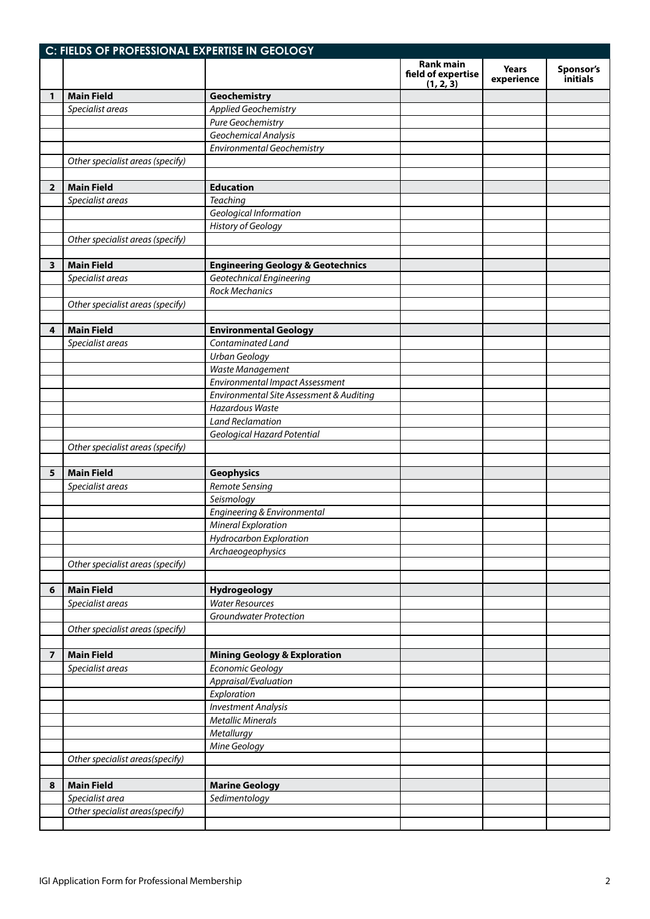|                | C: FIELDS OF PROFESSIONAL EXPERTISE IN GEOLOGY |                                              |                                                     |                            |                       |
|----------------|------------------------------------------------|----------------------------------------------|-----------------------------------------------------|----------------------------|-----------------------|
|                |                                                |                                              | <b>Rank main</b><br>field of expertise<br>(1, 2, 3) | <b>Years</b><br>experience | Sponsor's<br>initials |
| 1              | <b>Main Field</b>                              | Geochemistry                                 |                                                     |                            |                       |
|                | Specialist areas                               | <b>Applied Geochemistry</b>                  |                                                     |                            |                       |
|                |                                                | Pure Geochemistry                            |                                                     |                            |                       |
|                |                                                | Geochemical Analysis                         |                                                     |                            |                       |
|                |                                                | <b>Environmental Geochemistry</b>            |                                                     |                            |                       |
|                | Other specialist areas (specify)               |                                              |                                                     |                            |                       |
|                |                                                |                                              |                                                     |                            |                       |
| $\overline{2}$ | <b>Main Field</b>                              | <b>Education</b>                             |                                                     |                            |                       |
|                | Specialist areas                               | <b>Teaching</b>                              |                                                     |                            |                       |
|                |                                                | Geological Information                       |                                                     |                            |                       |
|                |                                                | <b>History of Geology</b>                    |                                                     |                            |                       |
|                | Other specialist areas (specify)               |                                              |                                                     |                            |                       |
|                |                                                |                                              |                                                     |                            |                       |
| 3              | <b>Main Field</b>                              | <b>Engineering Geology &amp; Geotechnics</b> |                                                     |                            |                       |
|                | Specialist areas                               | Geotechnical Engineering                     |                                                     |                            |                       |
|                |                                                | <b>Rock Mechanics</b>                        |                                                     |                            |                       |
|                | Other specialist areas (specify)               |                                              |                                                     |                            |                       |
|                |                                                |                                              |                                                     |                            |                       |
| 4              | <b>Main Field</b>                              | <b>Environmental Geology</b>                 |                                                     |                            |                       |
|                | Specialist areas                               | Contaminated Land                            |                                                     |                            |                       |
|                |                                                | <b>Urban Geology</b>                         |                                                     |                            |                       |
|                |                                                | Waste Management                             |                                                     |                            |                       |
|                |                                                | <b>Environmental Impact Assessment</b>       |                                                     |                            |                       |
|                |                                                | Environmental Site Assessment & Auditing     |                                                     |                            |                       |
|                |                                                | <b>Hazardous Waste</b>                       |                                                     |                            |                       |
|                |                                                | <b>Land Reclamation</b>                      |                                                     |                            |                       |
|                |                                                | Geological Hazard Potential                  |                                                     |                            |                       |
|                | Other specialist areas (specify)               |                                              |                                                     |                            |                       |
|                |                                                |                                              |                                                     |                            |                       |
| 5              | <b>Main Field</b>                              | <b>Geophysics</b>                            |                                                     |                            |                       |
|                | Specialist areas                               | <b>Remote Sensing</b>                        |                                                     |                            |                       |
|                |                                                | Seismology                                   |                                                     |                            |                       |
|                |                                                | Engineering & Environmental                  |                                                     |                            |                       |
|                |                                                | <b>Mineral Exploration</b>                   |                                                     |                            |                       |
|                |                                                | Hydrocarbon Exploration                      |                                                     |                            |                       |
|                |                                                | Archaeogeophysics                            |                                                     |                            |                       |
|                | Other specialist areas (specify)               |                                              |                                                     |                            |                       |
|                |                                                |                                              |                                                     |                            |                       |
| 6              | <b>Main Field</b>                              | Hydrogeology                                 |                                                     |                            |                       |
|                | Specialist areas                               | <b>Water Resources</b>                       |                                                     |                            |                       |
|                |                                                | <b>Groundwater Protection</b>                |                                                     |                            |                       |
|                | Other specialist areas (specify)               |                                              |                                                     |                            |                       |
|                |                                                |                                              |                                                     |                            |                       |
| 7              | <b>Main Field</b>                              | <b>Mining Geology &amp; Exploration</b>      |                                                     |                            |                       |
|                | Specialist areas                               | Economic Geology                             |                                                     |                            |                       |
|                |                                                | Appraisal/Evaluation                         |                                                     |                            |                       |
|                |                                                | Exploration                                  |                                                     |                            |                       |
|                |                                                | <b>Investment Analysis</b>                   |                                                     |                            |                       |
|                |                                                | <b>Metallic Minerals</b>                     |                                                     |                            |                       |
|                |                                                | Metallurgy                                   |                                                     |                            |                       |
|                |                                                | Mine Geology                                 |                                                     |                            |                       |
|                | Other specialist areas(specify)                |                                              |                                                     |                            |                       |
|                |                                                |                                              |                                                     |                            |                       |
| 8              | <b>Main Field</b>                              | <b>Marine Geology</b>                        |                                                     |                            |                       |
|                | Specialist area                                | Sedimentology                                |                                                     |                            |                       |
|                | Other specialist areas(specify)                |                                              |                                                     |                            |                       |
|                |                                                |                                              |                                                     |                            |                       |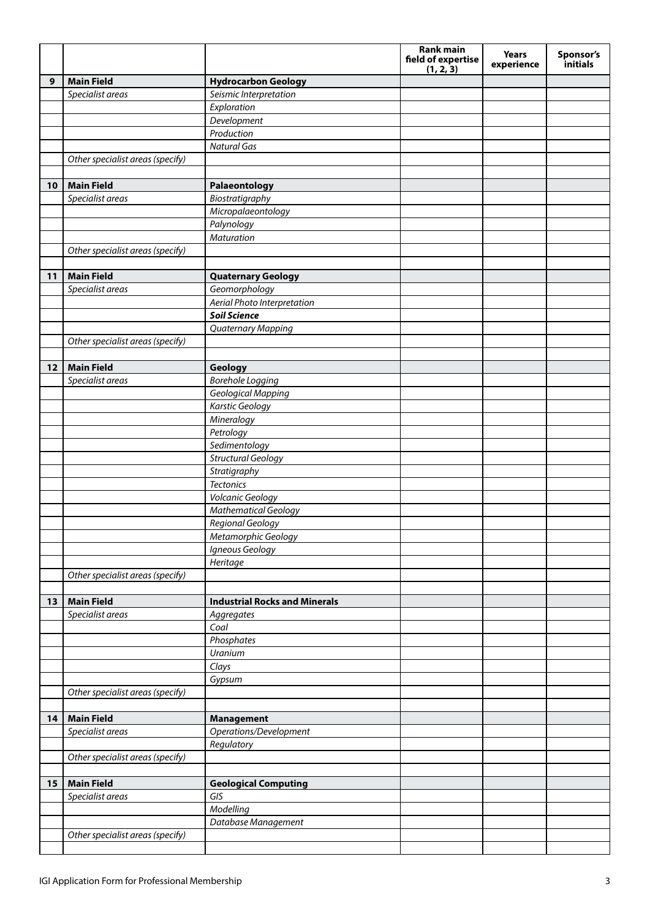|    |                                  |                                      | Rank main<br>field of expertise | <b>Years</b><br>experience | Sponsor's<br>initials |
|----|----------------------------------|--------------------------------------|---------------------------------|----------------------------|-----------------------|
| 9  | <b>Main Field</b>                | <b>Hydrocarbon Geology</b>           | (1, 2, 3)                       |                            |                       |
|    | Specialist areas                 | Seismic Interpretation               |                                 |                            |                       |
|    |                                  | Exploration                          |                                 |                            |                       |
|    |                                  | Development                          |                                 |                            |                       |
|    |                                  | Production                           |                                 |                            |                       |
|    |                                  | <b>Natural Gas</b>                   |                                 |                            |                       |
|    | Other specialist areas (specify) |                                      |                                 |                            |                       |
|    |                                  |                                      |                                 |                            |                       |
| 10 | <b>Main Field</b>                | Palaeontology                        |                                 |                            |                       |
|    | Specialist areas                 | Biostratigraphy                      |                                 |                            |                       |
|    |                                  | Micropalaeontology                   |                                 |                            |                       |
|    |                                  | Palynology                           |                                 |                            |                       |
|    |                                  | Maturation                           |                                 |                            |                       |
|    | Other specialist areas (specify) |                                      |                                 |                            |                       |
|    |                                  |                                      |                                 |                            |                       |
| 11 | <b>Main Field</b>                | <b>Quaternary Geology</b>            |                                 |                            |                       |
|    | Specialist areas                 | Geomorphology                        |                                 |                            |                       |
|    |                                  | Aerial Photo Interpretation          |                                 |                            |                       |
|    |                                  | <b>Soil Science</b>                  |                                 |                            |                       |
|    |                                  | Quaternary Mapping                   |                                 |                            |                       |
|    | Other specialist areas (specify) |                                      |                                 |                            |                       |
| 12 | <b>Main Field</b>                |                                      |                                 |                            |                       |
|    | Specialist areas                 | Geology<br><b>Borehole Logging</b>   |                                 |                            |                       |
|    |                                  | Geological Mapping                   |                                 |                            |                       |
|    |                                  | <b>Karstic Geology</b>               |                                 |                            |                       |
|    |                                  | Mineralogy                           |                                 |                            |                       |
|    |                                  | Petrology                            |                                 |                            |                       |
|    |                                  | Sedimentology                        |                                 |                            |                       |
|    |                                  | <b>Structural Geology</b>            |                                 |                            |                       |
|    |                                  | Stratigraphy                         |                                 |                            |                       |
|    |                                  | <b>Tectonics</b>                     |                                 |                            |                       |
|    |                                  | Volcanic Geology                     |                                 |                            |                       |
|    |                                  | <b>Mathematical Geology</b>          |                                 |                            |                       |
|    |                                  | Regional Geology                     |                                 |                            |                       |
|    |                                  | Metamorphic Geology                  |                                 |                            |                       |
|    |                                  | Igneous Geology                      |                                 |                            |                       |
|    |                                  | Heritage                             |                                 |                            |                       |
|    | Other specialist areas (specify) |                                      |                                 |                            |                       |
|    |                                  |                                      |                                 |                            |                       |
| 13 | <b>Main Field</b>                | <b>Industrial Rocks and Minerals</b> |                                 |                            |                       |
|    | Specialist areas                 | Aggregates                           |                                 |                            |                       |
|    |                                  | Coal                                 |                                 |                            |                       |
|    |                                  | Phosphates                           |                                 |                            |                       |
|    |                                  | Uranium                              |                                 |                            |                       |
|    |                                  | Clays                                |                                 |                            |                       |
|    |                                  | Gypsum                               |                                 |                            |                       |
|    | Other specialist areas (specify) |                                      |                                 |                            |                       |
|    |                                  |                                      |                                 |                            |                       |
| 14 | <b>Main Field</b>                | <b>Management</b>                    |                                 |                            |                       |
|    | Specialist areas                 | Operations/Development               |                                 |                            |                       |
|    |                                  | Regulatory                           |                                 |                            |                       |
|    | Other specialist areas (specify) |                                      |                                 |                            |                       |
| 15 | <b>Main Field</b>                |                                      |                                 |                            |                       |
|    | Specialist areas                 | <b>Geological Computing</b><br>GIS   |                                 |                            |                       |
|    |                                  | Modelling                            |                                 |                            |                       |
|    |                                  | Database Management                  |                                 |                            |                       |
|    | Other specialist areas (specify) |                                      |                                 |                            |                       |
|    |                                  |                                      |                                 |                            |                       |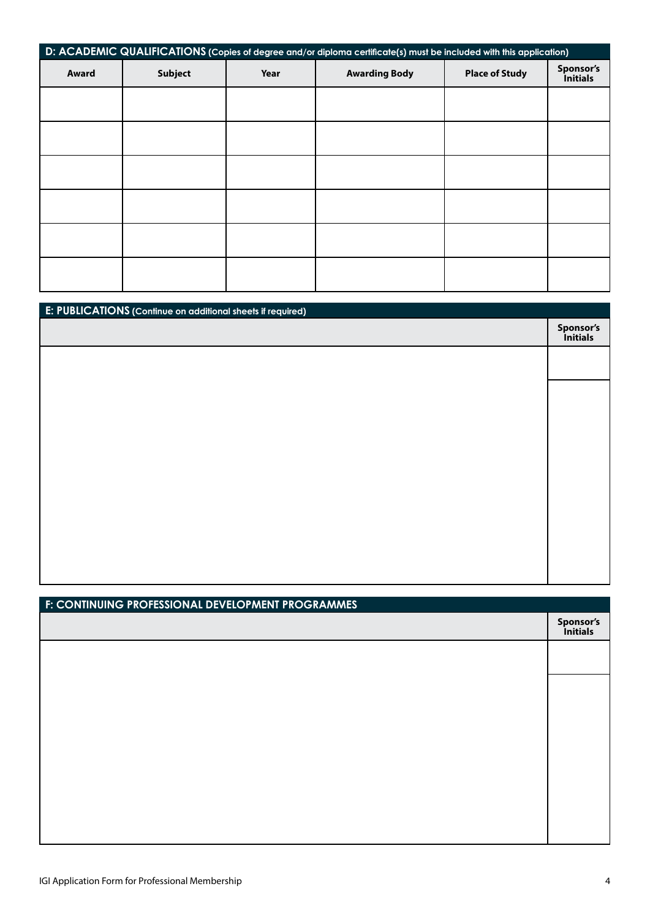| D: ACADEMIC QUALIFICATIONS (Copies of degree and/or diploma certificate(s) must be included with this application) |                                                                         |  |                              |  |  |
|--------------------------------------------------------------------------------------------------------------------|-------------------------------------------------------------------------|--|------------------------------|--|--|
| Award                                                                                                              | <b>Place of Study</b><br><b>Subject</b><br><b>Awarding Body</b><br>Year |  | Sponsor's<br><i>initials</i> |  |  |
|                                                                                                                    |                                                                         |  |                              |  |  |
|                                                                                                                    |                                                                         |  |                              |  |  |
|                                                                                                                    |                                                                         |  |                              |  |  |
|                                                                                                                    |                                                                         |  |                              |  |  |
|                                                                                                                    |                                                                         |  |                              |  |  |
|                                                                                                                    |                                                                         |  |                              |  |  |

| E: PUBLICATIONS (Continue on additional sheets if required) |                       |
|-------------------------------------------------------------|-----------------------|
|                                                             | Sponsor's<br>Initials |
|                                                             |                       |
|                                                             |                       |
|                                                             |                       |
|                                                             |                       |
|                                                             |                       |
|                                                             |                       |
|                                                             |                       |
|                                                             |                       |
|                                                             |                       |
|                                                             |                       |

| F: CONTINUING PROFESSIONAL DEVELOPMENT PROGRAMMES |                       |
|---------------------------------------------------|-----------------------|
|                                                   | Sponsor's<br>Initials |
|                                                   |                       |
|                                                   |                       |
|                                                   |                       |
|                                                   |                       |
|                                                   |                       |
|                                                   |                       |
|                                                   |                       |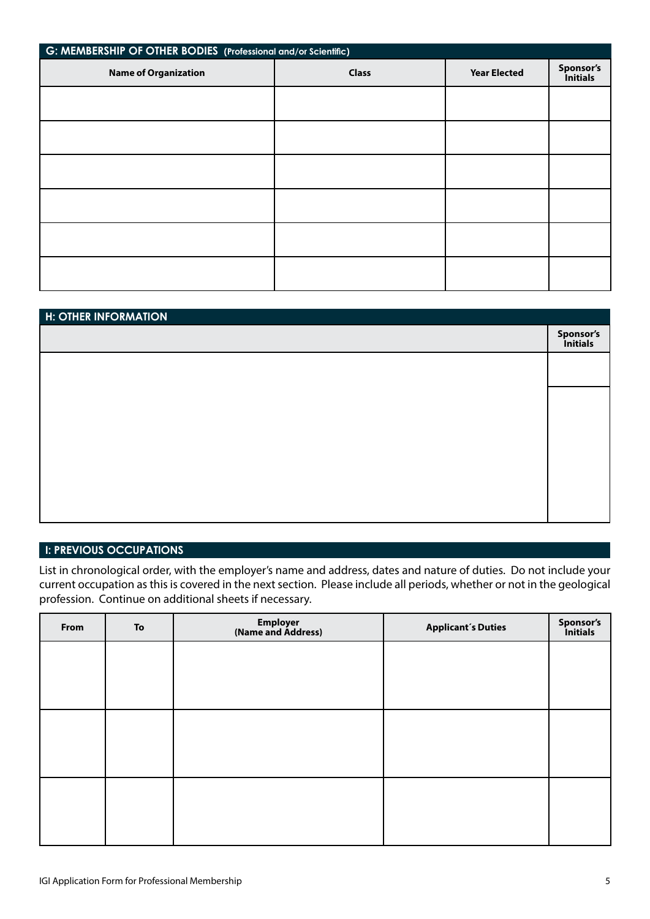| G: MEMBERSHIP OF OTHER BODIES (Professional and/or Scientific) |              |                     |                       |  |
|----------------------------------------------------------------|--------------|---------------------|-----------------------|--|
| <b>Name of Organization</b>                                    | <b>Class</b> | <b>Year Elected</b> | Sponsor's<br>Initials |  |
|                                                                |              |                     |                       |  |
|                                                                |              |                     |                       |  |
|                                                                |              |                     |                       |  |
|                                                                |              |                     |                       |  |
|                                                                |              |                     |                       |  |
|                                                                |              |                     |                       |  |
|                                                                |              |                     |                       |  |

| <b>H: OTHER INFORMATION</b> |                       |
|-----------------------------|-----------------------|
|                             | Sponsor's<br>Initials |
|                             |                       |
|                             |                       |
|                             |                       |
|                             |                       |
|                             |                       |
|                             |                       |
|                             |                       |

## **I: PREVIOUS OCCUPATIONS**

List in chronological order, with the employer's name and address, dates and nature of duties. Do not include your current occupation as this is covered in the next section. Please include all periods, whether or not in the geological profession. Continue on additional sheets if necessary.

| From | To | Employer<br>(Name and Address) | <b>Applicant's Duties</b> | Sponsor's<br>Initials |
|------|----|--------------------------------|---------------------------|-----------------------|
|      |    |                                |                           |                       |
|      |    |                                |                           |                       |
|      |    |                                |                           |                       |
|      |    |                                |                           |                       |
|      |    |                                |                           |                       |
|      |    |                                |                           |                       |
|      |    |                                |                           |                       |
|      |    |                                |                           |                       |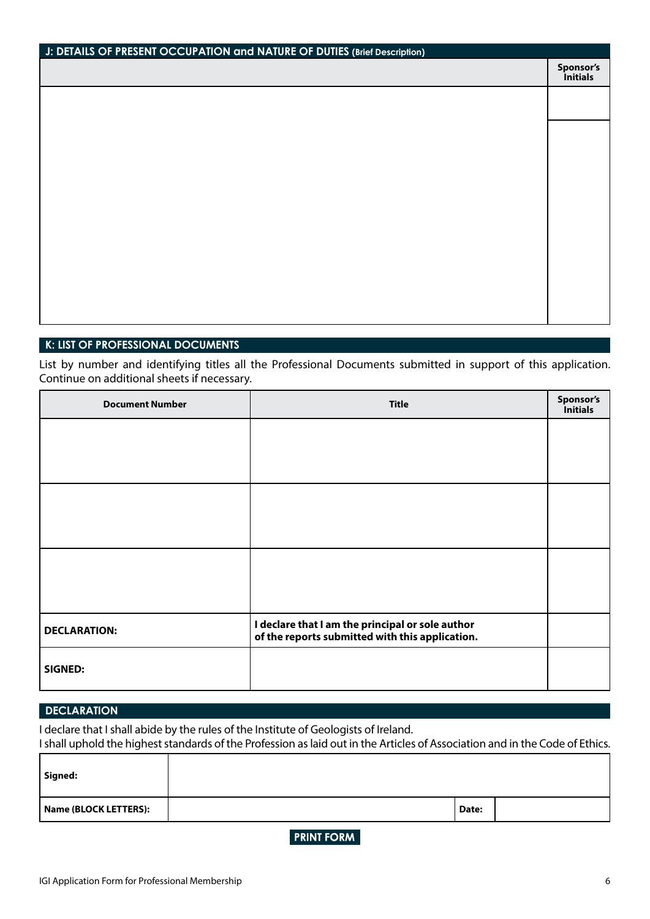| J: DETAILS OF PRESENT OCCUPATION and NATURE OF DUTIES (Brief Description) |                       |
|---------------------------------------------------------------------------|-----------------------|
|                                                                           | Sponsor's<br>Initials |
|                                                                           |                       |
|                                                                           |                       |
|                                                                           |                       |
|                                                                           |                       |
|                                                                           |                       |
|                                                                           |                       |
|                                                                           |                       |
|                                                                           |                       |
|                                                                           |                       |
|                                                                           |                       |
|                                                                           |                       |

#### **K: LIST OF PROFESSIONAL DOCUMENTS**

List by number and identifying titles all the Professional Documents submitted in support of this application. Continue on additional sheets if necessary.

| <b>Document Number</b> | <b>Title</b>                                                                                        | Sponsor's<br><b>Initials</b> |
|------------------------|-----------------------------------------------------------------------------------------------------|------------------------------|
|                        |                                                                                                     |                              |
|                        |                                                                                                     |                              |
|                        |                                                                                                     |                              |
|                        |                                                                                                     |                              |
|                        |                                                                                                     |                              |
|                        |                                                                                                     |                              |
| <b>DECLARATION:</b>    | I declare that I am the principal or sole author<br>of the reports submitted with this application. |                              |
| <b>SIGNED:</b>         |                                                                                                     |                              |

## **DECLARATION**

r

I declare that I shall abide by the rules of the Institute of Geologists of Ireland.

I shall uphold the highest standards of the Profession as laid out in the Articles of Association and in the Code of Ethics.

| Signed:               |       |  |
|-----------------------|-------|--|
| Name (BLOCK LETTERS): | Date: |  |